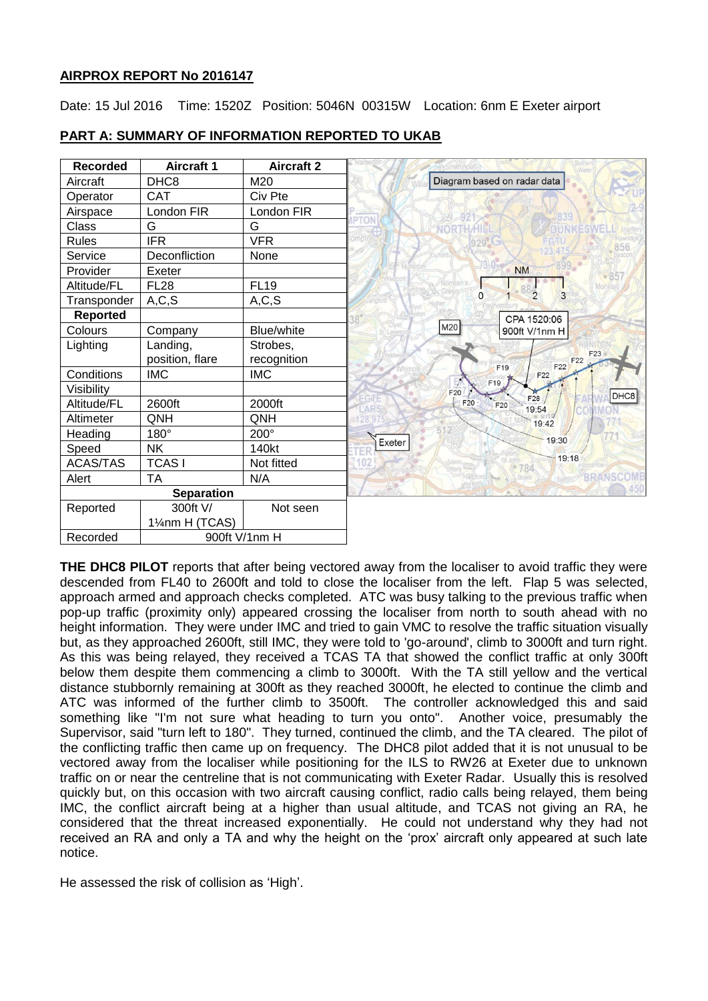## **AIRPROX REPORT No 2016147**

Date: 15 Jul 2016 Time: 1520Z Position: 5046N 00315W Location: 6nm E Exeter airport

| <b>Recorded</b>   | <b>Aircraft 1</b> | <b>Aircraft 2</b> |
|-------------------|-------------------|-------------------|
| Aircraft          | DHC <sub>8</sub>  | M20               |
| Operator          | <b>CAT</b>        | Civ Pte           |
| Airspace          | London FIR        | London FIR        |
| Class             | G                 | G                 |
| <b>Rules</b>      | <b>IFR</b>        | <b>VFR</b>        |
| Service           | Deconfliction     | None              |
| Provider          | Exeter            |                   |
| Altitude/FL       | <b>FL28</b>       | <b>FL19</b>       |
| Transponder       | A, C, S           | A, C, S           |
| <b>Reported</b>   |                   |                   |
| Colours           | Company           | <b>Blue/white</b> |
| Lighting          | Landing,          | Strobes,          |
|                   | position, flare   | recognition       |
| Conditions        | <b>IMC</b>        | <b>IMC</b>        |
| Visibility        |                   |                   |
| Altitude/FL       | 2600ft            | 2000ft            |
| Altimeter         | QNH               | QNH               |
| Heading           | 180°              | 200°              |
| Speed             | <b>NK</b>         | 140kt             |
| <b>ACAS/TAS</b>   | <b>TCASI</b>      | Not fitted        |
| Alert             | <b>TA</b>         | N/A               |
| <b>Separation</b> |                   |                   |
| Reported          | 300ft V/          | Not seen          |
|                   | 11/4nm H (TCAS)   |                   |
| Recorded          | 900ft V/1nm H     |                   |

# **PART A: SUMMARY OF INFORMATION REPORTED TO UKAB**

**THE DHC8 PILOT** reports that after being vectored away from the localiser to avoid traffic they were descended from FL40 to 2600ft and told to close the localiser from the left. Flap 5 was selected, approach armed and approach checks completed. ATC was busy talking to the previous traffic when pop-up traffic (proximity only) appeared crossing the localiser from north to south ahead with no height information. They were under IMC and tried to gain VMC to resolve the traffic situation visually but, as they approached 2600ft, still IMC, they were told to 'go-around', climb to 3000ft and turn right. As this was being relayed, they received a TCAS TA that showed the conflict traffic at only 300ft below them despite them commencing a climb to 3000ft. With the TA still yellow and the vertical distance stubbornly remaining at 300ft as they reached 3000ft, he elected to continue the climb and ATC was informed of the further climb to 3500ft. The controller acknowledged this and said something like "I'm not sure what heading to turn you onto". Another voice, presumably the Supervisor, said "turn left to 180". They turned, continued the climb, and the TA cleared. The pilot of the conflicting traffic then came up on frequency. The DHC8 pilot added that it is not unusual to be vectored away from the localiser while positioning for the ILS to RW26 at Exeter due to unknown traffic on or near the centreline that is not communicating with Exeter Radar. Usually this is resolved quickly but, on this occasion with two aircraft causing conflict, radio calls being relayed, them being IMC, the conflict aircraft being at a higher than usual altitude, and TCAS not giving an RA, he considered that the threat increased exponentially. He could not understand why they had not received an RA and only a TA and why the height on the 'prox' aircraft only appeared at such late notice.

He assessed the risk of collision as 'High'.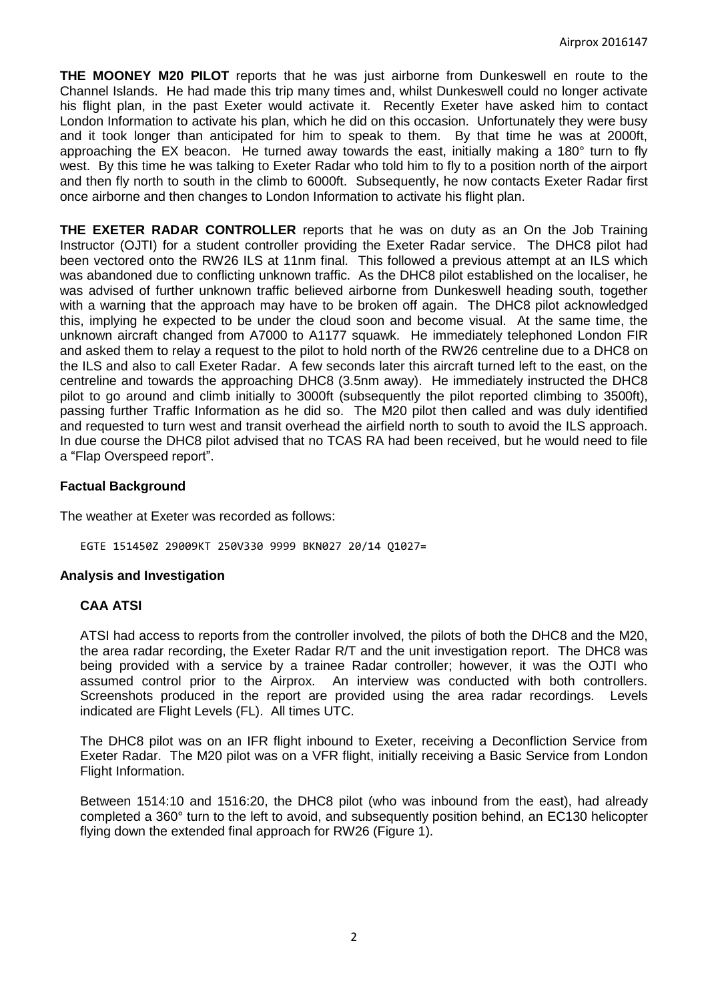**THE MOONEY M20 PILOT** reports that he was just airborne from Dunkeswell en route to the Channel Islands. He had made this trip many times and, whilst Dunkeswell could no longer activate his flight plan, in the past Exeter would activate it. Recently Exeter have asked him to contact London Information to activate his plan, which he did on this occasion. Unfortunately they were busy and it took longer than anticipated for him to speak to them. By that time he was at 2000ft, approaching the EX beacon. He turned away towards the east, initially making a 180° turn to fly west. By this time he was talking to Exeter Radar who told him to fly to a position north of the airport and then fly north to south in the climb to 6000ft. Subsequently, he now contacts Exeter Radar first once airborne and then changes to London Information to activate his flight plan.

**THE EXETER RADAR CONTROLLER** reports that he was on duty as an On the Job Training Instructor (OJTI) for a student controller providing the Exeter Radar service. The DHC8 pilot had been vectored onto the RW26 ILS at 11nm final. This followed a previous attempt at an ILS which was abandoned due to conflicting unknown traffic. As the DHC8 pilot established on the localiser, he was advised of further unknown traffic believed airborne from Dunkeswell heading south, together with a warning that the approach may have to be broken off again. The DHC8 pilot acknowledged this, implying he expected to be under the cloud soon and become visual. At the same time, the unknown aircraft changed from A7000 to A1177 squawk. He immediately telephoned London FIR and asked them to relay a request to the pilot to hold north of the RW26 centreline due to a DHC8 on the ILS and also to call Exeter Radar. A few seconds later this aircraft turned left to the east, on the centreline and towards the approaching DHC8 (3.5nm away). He immediately instructed the DHC8 pilot to go around and climb initially to 3000ft (subsequently the pilot reported climbing to 3500ft), passing further Traffic Information as he did so. The M20 pilot then called and was duly identified and requested to turn west and transit overhead the airfield north to south to avoid the ILS approach. In due course the DHC8 pilot advised that no TCAS RA had been received, but he would need to file a "Flap Overspeed report".

## **Factual Background**

The weather at Exeter was recorded as follows:

EGTE 151450Z 29009KT 250V330 9999 BKN027 20/14 Q1027=

#### **Analysis and Investigation**

#### **CAA ATSI**

ATSI had access to reports from the controller involved, the pilots of both the DHC8 and the M20, the area radar recording, the Exeter Radar R/T and the unit investigation report. The DHC8 was being provided with a service by a trainee Radar controller; however, it was the OJTI who assumed control prior to the Airprox. An interview was conducted with both controllers. Screenshots produced in the report are provided using the area radar recordings. Levels indicated are Flight Levels (FL). All times UTC.

The DHC8 pilot was on an IFR flight inbound to Exeter, receiving a Deconfliction Service from Exeter Radar. The M20 pilot was on a VFR flight, initially receiving a Basic Service from London Flight Information.

Between 1514:10 and 1516:20, the DHC8 pilot (who was inbound from the east), had already completed a 360° turn to the left to avoid, and subsequently position behind, an EC130 helicopter flying down the extended final approach for RW26 (Figure 1).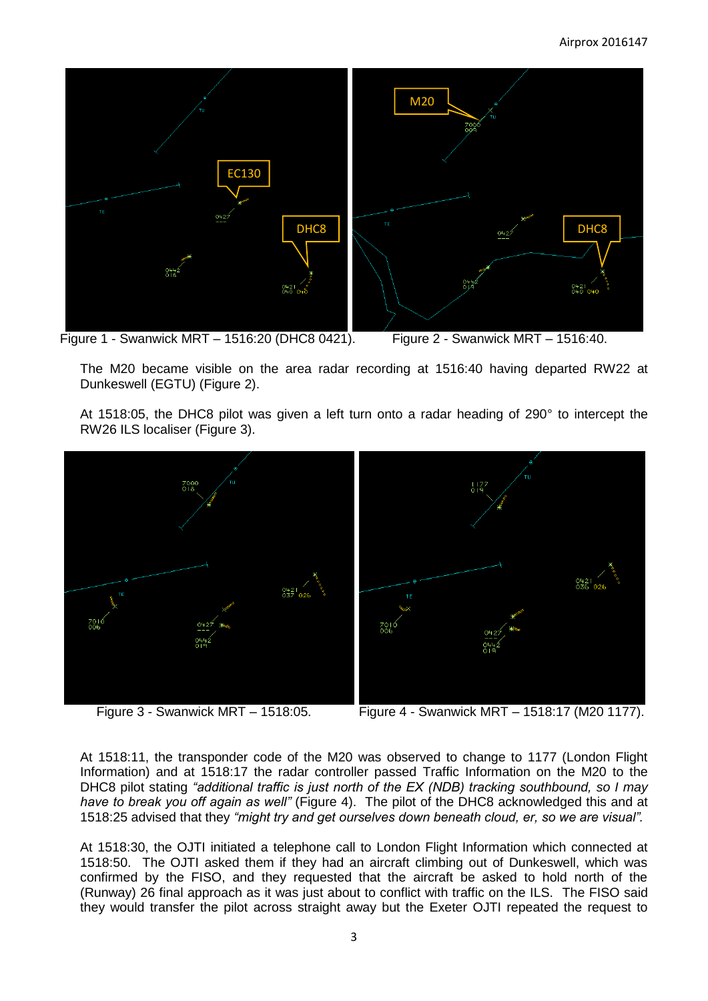

Figure 1 - Swanwick MRT – 1516:20 (DHC8 0421). Figure 2 - Swanwick MRT – 1516:40.

The M20 became visible on the area radar recording at 1516:40 having departed RW22 at Dunkeswell (EGTU) (Figure 2).

At 1518:05, the DHC8 pilot was given a left turn onto a radar heading of 290° to intercept the RW26 ILS localiser (Figure 3).



Figure 3 - Swanwick MRT – 1518:05. Figure 4 - Swanwick MRT – 1518:17 (M20 1177).

At 1518:11, the transponder code of the M20 was observed to change to 1177 (London Flight Information) and at 1518:17 the radar controller passed Traffic Information on the M20 to the DHC8 pilot stating *"additional traffic is just north of the EX (NDB) tracking southbound, so I may have to break you off again as well"* (Figure 4). The pilot of the DHC8 acknowledged this and at 1518:25 advised that they *"might try and get ourselves down beneath cloud, er, so we are visual".*

At 1518:30, the OJTI initiated a telephone call to London Flight Information which connected at 1518:50. The OJTI asked them if they had an aircraft climbing out of Dunkeswell, which was confirmed by the FISO, and they requested that the aircraft be asked to hold north of the (Runway) 26 final approach as it was just about to conflict with traffic on the ILS. The FISO said they would transfer the pilot across straight away but the Exeter OJTI repeated the request to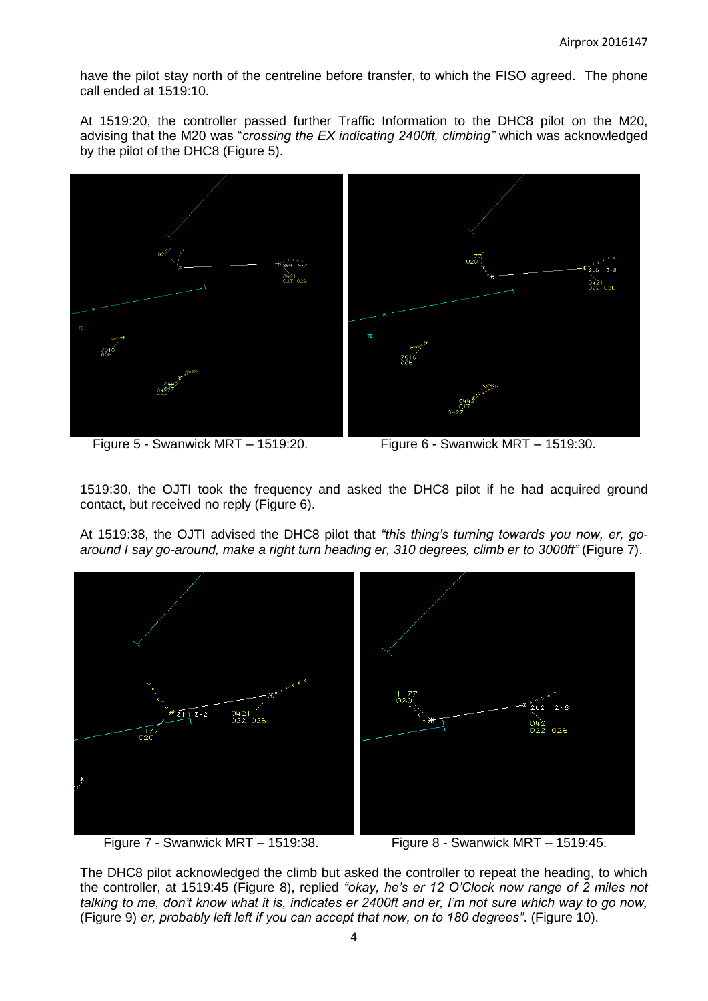have the pilot stay north of the centreline before transfer, to which the FISO agreed. The phone call ended at 1519:10.

At 1519:20, the controller passed further Traffic Information to the DHC8 pilot on the M20, advising that the M20 was "*crossing the EX indicating 2400ft, climbing"* which was acknowledged by the pilot of the DHC8 (Figure 5).



Figure 5 - Swanwick MRT – 1519:20. Figure 6 - Swanwick MRT – 1519:30.

1519:30, the OJTI took the frequency and asked the DHC8 pilot if he had acquired ground contact, but received no reply (Figure 6).

At 1519:38, the OJTI advised the DHC8 pilot that *"this thing's turning towards you now, er, goaround I say go-around, make a right turn heading er, 310 degrees, climb er to 3000ft"* (Figure 7).





The DHC8 pilot acknowledged the climb but asked the controller to repeat the heading, to which the controller, at 1519:45 (Figure 8), replied *"okay, he's er 12 O'Clock now range of 2 miles not talking to me, don't know what it is, indicates er 2400ft and er, I'm not sure which way to go now,*  (Figure 9) *er, probably left left if you can accept that now, on to 180 degrees"*. (Figure 10).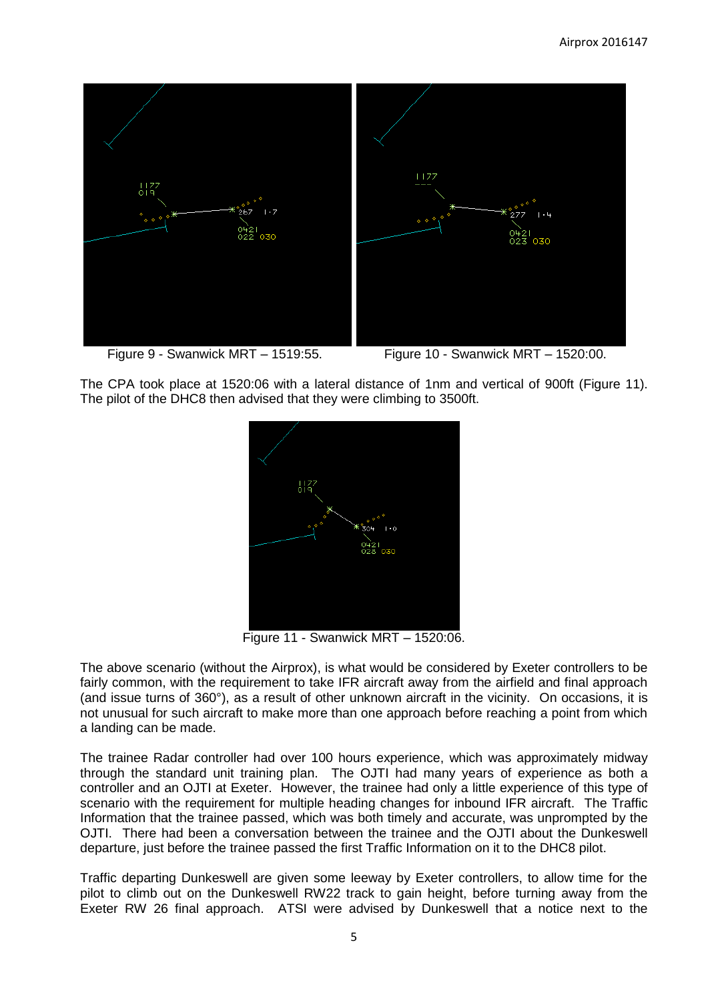

Figure 9 - Swanwick MRT – 1519:55. Figure 10 - Swanwick MRT – 1520:00.

The CPA took place at 1520:06 with a lateral distance of 1nm and vertical of 900ft (Figure 11). The pilot of the DHC8 then advised that they were climbing to 3500ft.



Figure 11 - Swanwick MRT – 1520:06.

The above scenario (without the Airprox), is what would be considered by Exeter controllers to be fairly common, with the requirement to take IFR aircraft away from the airfield and final approach (and issue turns of 360°), as a result of other unknown aircraft in the vicinity. On occasions, it is not unusual for such aircraft to make more than one approach before reaching a point from which a landing can be made.

The trainee Radar controller had over 100 hours experience, which was approximately midway through the standard unit training plan. The OJTI had many years of experience as both a controller and an OJTI at Exeter. However, the trainee had only a little experience of this type of scenario with the requirement for multiple heading changes for inbound IFR aircraft. The Traffic Information that the trainee passed, which was both timely and accurate, was unprompted by the OJTI. There had been a conversation between the trainee and the OJTI about the Dunkeswell departure, just before the trainee passed the first Traffic Information on it to the DHC8 pilot.

Traffic departing Dunkeswell are given some leeway by Exeter controllers, to allow time for the pilot to climb out on the Dunkeswell RW22 track to gain height, before turning away from the Exeter RW 26 final approach. ATSI were advised by Dunkeswell that a notice next to the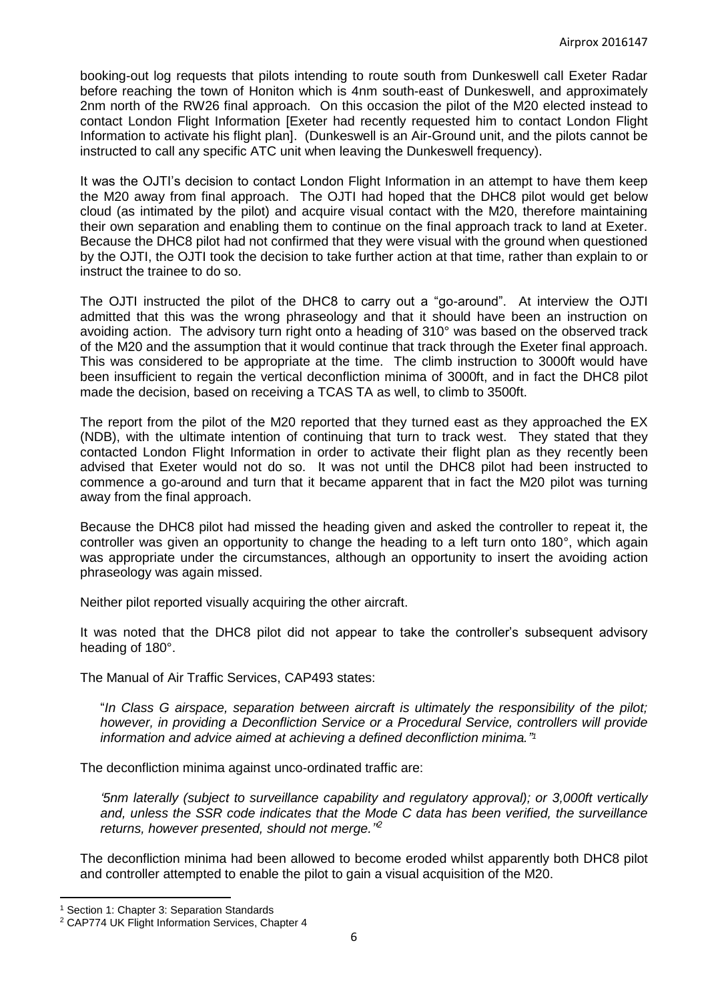booking-out log requests that pilots intending to route south from Dunkeswell call Exeter Radar before reaching the town of Honiton which is 4nm south-east of Dunkeswell, and approximately 2nm north of the RW26 final approach. On this occasion the pilot of the M20 elected instead to contact London Flight Information [Exeter had recently requested him to contact London Flight Information to activate his flight plan]. (Dunkeswell is an Air-Ground unit, and the pilots cannot be instructed to call any specific ATC unit when leaving the Dunkeswell frequency).

It was the OJTI's decision to contact London Flight Information in an attempt to have them keep the M20 away from final approach. The OJTI had hoped that the DHC8 pilot would get below cloud (as intimated by the pilot) and acquire visual contact with the M20, therefore maintaining their own separation and enabling them to continue on the final approach track to land at Exeter. Because the DHC8 pilot had not confirmed that they were visual with the ground when questioned by the OJTI, the OJTI took the decision to take further action at that time, rather than explain to or instruct the trainee to do so.

The OJTI instructed the pilot of the DHC8 to carry out a "go-around". At interview the OJTI admitted that this was the wrong phraseology and that it should have been an instruction on avoiding action. The advisory turn right onto a heading of 310° was based on the observed track of the M20 and the assumption that it would continue that track through the Exeter final approach. This was considered to be appropriate at the time. The climb instruction to 3000ft would have been insufficient to regain the vertical deconfliction minima of 3000ft, and in fact the DHC8 pilot made the decision, based on receiving a TCAS TA as well, to climb to 3500ft.

The report from the pilot of the M20 reported that they turned east as they approached the EX (NDB), with the ultimate intention of continuing that turn to track west. They stated that they contacted London Flight Information in order to activate their flight plan as they recently been advised that Exeter would not do so. It was not until the DHC8 pilot had been instructed to commence a go-around and turn that it became apparent that in fact the M20 pilot was turning away from the final approach.

Because the DHC8 pilot had missed the heading given and asked the controller to repeat it, the controller was given an opportunity to change the heading to a left turn onto 180°, which again was appropriate under the circumstances, although an opportunity to insert the avoiding action phraseology was again missed.

Neither pilot reported visually acquiring the other aircraft.

It was noted that the DHC8 pilot did not appear to take the controller's subsequent advisory heading of 180°.

The Manual of Air Traffic Services, CAP493 states:

"*In Class G airspace, separation between aircraft is ultimately the responsibility of the pilot; however, in providing a Deconfliction Service or a Procedural Service, controllers will provide information and advice aimed at achieving a defined deconfliction minima." 1*

The deconfliction minima against unco-ordinated traffic are:

*'5nm laterally (subject to surveillance capability and regulatory approval); or 3,000ft vertically and, unless the SSR code indicates that the Mode C data has been verified, the surveillance returns, however presented, should not merge.'' 2*

The deconfliction minima had been allowed to become eroded whilst apparently both DHC8 pilot and controller attempted to enable the pilot to gain a visual acquisition of the M20.

 $\overline{\phantom{a}}$ 

<sup>&</sup>lt;sup>1</sup> Section 1: Chapter 3: Separation Standards

<sup>2</sup> CAP774 UK Flight Information Services, Chapter 4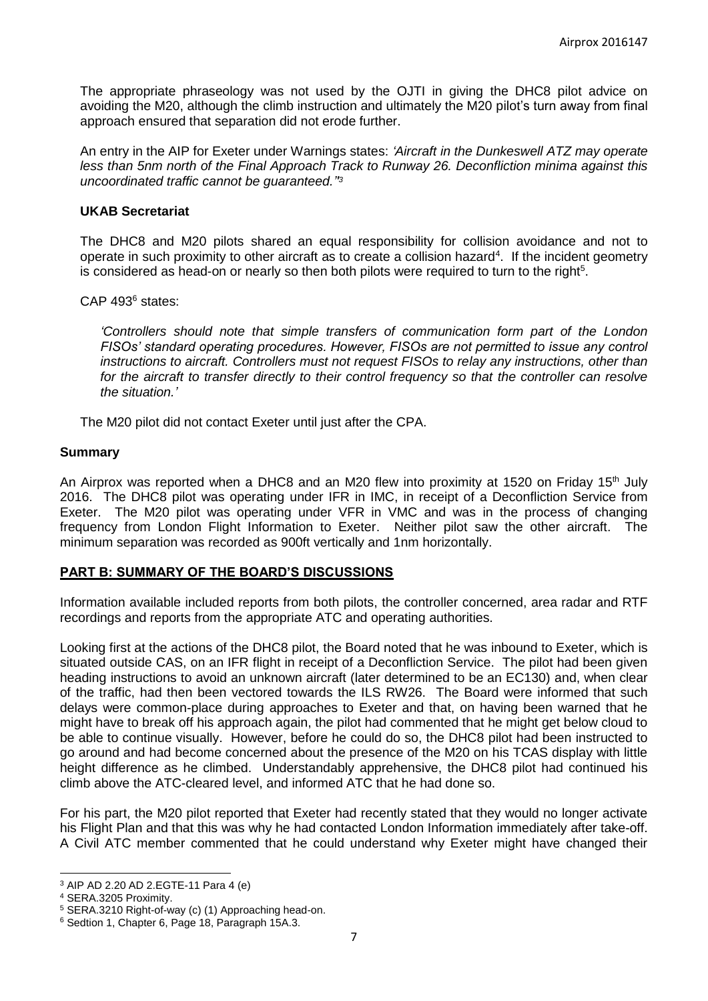The appropriate phraseology was not used by the OJTI in giving the DHC8 pilot advice on avoiding the M20, although the climb instruction and ultimately the M20 pilot's turn away from final approach ensured that separation did not erode further.

An entry in the AIP for Exeter under Warnings states: *'Aircraft in the Dunkeswell ATZ may operate less than 5nm north of the Final Approach Track to Runway 26. Deconfliction minima against this uncoordinated traffic cannot be guaranteed.'' 3*

## **UKAB Secretariat**

The DHC8 and M20 pilots shared an equal responsibility for collision avoidance and not to operate in such proximity to other aircraft as to create a collision hazard<sup>4</sup>. If the incident geometry is considered as head-on or nearly so then both pilots were required to turn to the right<sup>5</sup>.

CAP 493<sup>6</sup> states:

*'Controllers should note that simple transfers of communication form part of the London FISOs' standard operating procedures. However, FISOs are not permitted to issue any control instructions to aircraft. Controllers must not request FISOs to relay any instructions, other than*  for the aircraft to transfer directly to their control frequency so that the controller can resolve *the situation.'*

The M20 pilot did not contact Exeter until just after the CPA.

## **Summary**

An Airprox was reported when a DHC8 and an M20 flew into proximity at 1520 on Friday 15<sup>th</sup> July 2016. The DHC8 pilot was operating under IFR in IMC, in receipt of a Deconfliction Service from Exeter. The M20 pilot was operating under VFR in VMC and was in the process of changing frequency from London Flight Information to Exeter. Neither pilot saw the other aircraft. The minimum separation was recorded as 900ft vertically and 1nm horizontally.

## **PART B: SUMMARY OF THE BOARD'S DISCUSSIONS**

Information available included reports from both pilots, the controller concerned, area radar and RTF recordings and reports from the appropriate ATC and operating authorities.

Looking first at the actions of the DHC8 pilot, the Board noted that he was inbound to Exeter, which is situated outside CAS, on an IFR flight in receipt of a Deconfliction Service. The pilot had been given heading instructions to avoid an unknown aircraft (later determined to be an EC130) and, when clear of the traffic, had then been vectored towards the ILS RW26. The Board were informed that such delays were common-place during approaches to Exeter and that, on having been warned that he might have to break off his approach again, the pilot had commented that he might get below cloud to be able to continue visually. However, before he could do so, the DHC8 pilot had been instructed to go around and had become concerned about the presence of the M20 on his TCAS display with little height difference as he climbed. Understandably apprehensive, the DHC8 pilot had continued his climb above the ATC-cleared level, and informed ATC that he had done so.

For his part, the M20 pilot reported that Exeter had recently stated that they would no longer activate his Flight Plan and that this was why he had contacted London Information immediately after take-off. A Civil ATC member commented that he could understand why Exeter might have changed their

 $\overline{\phantom{a}}$ 

<sup>&</sup>lt;sup>3</sup> AIP AD 2.20 AD 2.EGTE-11 Para 4 (e)

<sup>4</sup> SERA.3205 Proximity.

<sup>5</sup> SERA.3210 Right-of-way (c) (1) Approaching head-on.

<sup>6</sup> Sedtion 1, Chapter 6, Page 18, Paragraph 15A.3.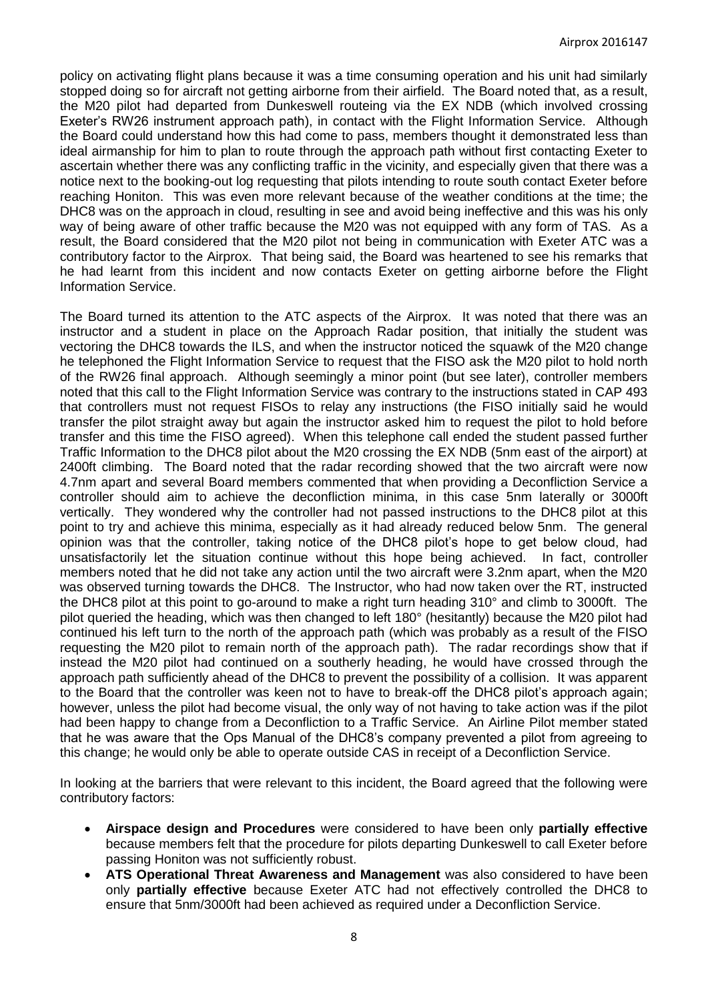policy on activating flight plans because it was a time consuming operation and his unit had similarly stopped doing so for aircraft not getting airborne from their airfield. The Board noted that, as a result, the M20 pilot had departed from Dunkeswell routeing via the EX NDB (which involved crossing Exeter's RW26 instrument approach path), in contact with the Flight Information Service. Although the Board could understand how this had come to pass, members thought it demonstrated less than ideal airmanship for him to plan to route through the approach path without first contacting Exeter to ascertain whether there was any conflicting traffic in the vicinity, and especially given that there was a notice next to the booking-out log requesting that pilots intending to route south contact Exeter before reaching Honiton. This was even more relevant because of the weather conditions at the time; the DHC8 was on the approach in cloud, resulting in see and avoid being ineffective and this was his only way of being aware of other traffic because the M20 was not equipped with any form of TAS. As a result, the Board considered that the M20 pilot not being in communication with Exeter ATC was a contributory factor to the Airprox. That being said, the Board was heartened to see his remarks that he had learnt from this incident and now contacts Exeter on getting airborne before the Flight Information Service.

The Board turned its attention to the ATC aspects of the Airprox. It was noted that there was an instructor and a student in place on the Approach Radar position, that initially the student was vectoring the DHC8 towards the ILS, and when the instructor noticed the squawk of the M20 change he telephoned the Flight Information Service to request that the FISO ask the M20 pilot to hold north of the RW26 final approach. Although seemingly a minor point (but see later), controller members noted that this call to the Flight Information Service was contrary to the instructions stated in CAP 493 that controllers must not request FISOs to relay any instructions (the FISO initially said he would transfer the pilot straight away but again the instructor asked him to request the pilot to hold before transfer and this time the FISO agreed). When this telephone call ended the student passed further Traffic Information to the DHC8 pilot about the M20 crossing the EX NDB (5nm east of the airport) at 2400ft climbing. The Board noted that the radar recording showed that the two aircraft were now 4.7nm apart and several Board members commented that when providing a Deconfliction Service a controller should aim to achieve the deconfliction minima, in this case 5nm laterally or 3000ft vertically. They wondered why the controller had not passed instructions to the DHC8 pilot at this point to try and achieve this minima, especially as it had already reduced below 5nm. The general opinion was that the controller, taking notice of the DHC8 pilot's hope to get below cloud, had unsatisfactorily let the situation continue without this hope being achieved. In fact, controller members noted that he did not take any action until the two aircraft were 3.2nm apart, when the M20 was observed turning towards the DHC8. The Instructor, who had now taken over the RT, instructed the DHC8 pilot at this point to go-around to make a right turn heading 310° and climb to 3000ft. The pilot queried the heading, which was then changed to left 180° (hesitantly) because the M20 pilot had continued his left turn to the north of the approach path (which was probably as a result of the FISO requesting the M20 pilot to remain north of the approach path). The radar recordings show that if instead the M20 pilot had continued on a southerly heading, he would have crossed through the approach path sufficiently ahead of the DHC8 to prevent the possibility of a collision. It was apparent to the Board that the controller was keen not to have to break-off the DHC8 pilot's approach again; however, unless the pilot had become visual, the only way of not having to take action was if the pilot had been happy to change from a Deconfliction to a Traffic Service. An Airline Pilot member stated that he was aware that the Ops Manual of the DHC8's company prevented a pilot from agreeing to this change; he would only be able to operate outside CAS in receipt of a Deconfliction Service.

In looking at the barriers that were relevant to this incident, the Board agreed that the following were contributory factors:

- **Airspace design and Procedures** were considered to have been only **partially effective** because members felt that the procedure for pilots departing Dunkeswell to call Exeter before passing Honiton was not sufficiently robust.
- **ATS Operational Threat Awareness and Management** was also considered to have been only **partially effective** because Exeter ATC had not effectively controlled the DHC8 to ensure that 5nm/3000ft had been achieved as required under a Deconfliction Service.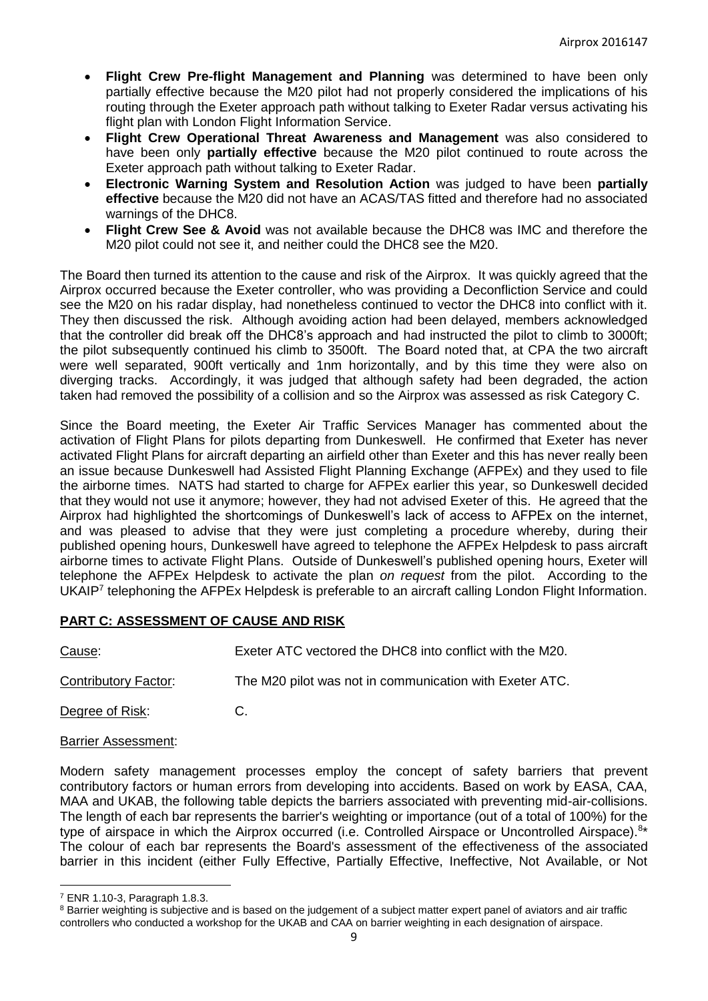- **Flight Crew Pre-flight Management and Planning** was determined to have been only partially effective because the M20 pilot had not properly considered the implications of his routing through the Exeter approach path without talking to Exeter Radar versus activating his flight plan with London Flight Information Service.
- **Flight Crew Operational Threat Awareness and Management** was also considered to have been only **partially effective** because the M20 pilot continued to route across the Exeter approach path without talking to Exeter Radar.
- **Electronic Warning System and Resolution Action** was judged to have been **partially effective** because the M20 did not have an ACAS/TAS fitted and therefore had no associated warnings of the DHC8.
- **Flight Crew See & Avoid** was not available because the DHC8 was IMC and therefore the M20 pilot could not see it, and neither could the DHC8 see the M20.

The Board then turned its attention to the cause and risk of the Airprox. It was quickly agreed that the Airprox occurred because the Exeter controller, who was providing a Deconfliction Service and could see the M20 on his radar display, had nonetheless continued to vector the DHC8 into conflict with it. They then discussed the risk. Although avoiding action had been delayed, members acknowledged that the controller did break off the DHC8's approach and had instructed the pilot to climb to 3000ft; the pilot subsequently continued his climb to 3500ft. The Board noted that, at CPA the two aircraft were well separated, 900ft vertically and 1nm horizontally, and by this time they were also on diverging tracks. Accordingly, it was judged that although safety had been degraded, the action taken had removed the possibility of a collision and so the Airprox was assessed as risk Category C.

Since the Board meeting, the Exeter Air Traffic Services Manager has commented about the activation of Flight Plans for pilots departing from Dunkeswell. He confirmed that Exeter has never activated Flight Plans for aircraft departing an airfield other than Exeter and this has never really been an issue because Dunkeswell had Assisted Flight Planning Exchange (AFPEx) and they used to file the airborne times. NATS had started to charge for AFPEx earlier this year, so Dunkeswell decided that they would not use it anymore; however, they had not advised Exeter of this. He agreed that the Airprox had highlighted the shortcomings of Dunkeswell's lack of access to AFPEx on the internet, and was pleased to advise that they were just completing a procedure whereby, during their published opening hours, Dunkeswell have agreed to telephone the AFPEx Helpdesk to pass aircraft airborne times to activate Flight Plans. Outside of Dunkeswell's published opening hours, Exeter will telephone the AFPEx Helpdesk to activate the plan *on request* from the pilot. According to the UKAIP<sup>7</sup> telephoning the AFPEx Helpdesk is preferable to an aircraft calling London Flight Information.

# **PART C: ASSESSMENT OF CAUSE AND RISK**

Cause: Exeter ATC vectored the DHC8 into conflict with the M20. Contributory Factor: The M20 pilot was not in communication with Exeter ATC.

Degree of Risk: C.

## Barrier Assessment:

Modern safety management processes employ the concept of safety barriers that prevent contributory factors or human errors from developing into accidents. Based on work by EASA, CAA, MAA and UKAB, the following table depicts the barriers associated with preventing mid-air-collisions. The length of each bar represents the barrier's weighting or importance (out of a total of 100%) for the type of airspace in which the Airprox occurred (i.e. Controlled Airspace or Uncontrolled Airspace).<sup>8\*</sup> The colour of each bar represents the Board's assessment of the effectiveness of the associated barrier in this incident (either Fully Effective, Partially Effective, Ineffective, Not Available, or Not

 $\overline{a}$ 

<sup>7</sup> ENR 1.10-3, Paragraph 1.8.3.

<sup>&</sup>lt;sup>8</sup> Barrier weighting is subjective and is based on the judgement of a subject matter expert panel of aviators and air traffic controllers who conducted a workshop for the UKAB and CAA on barrier weighting in each designation of airspace.